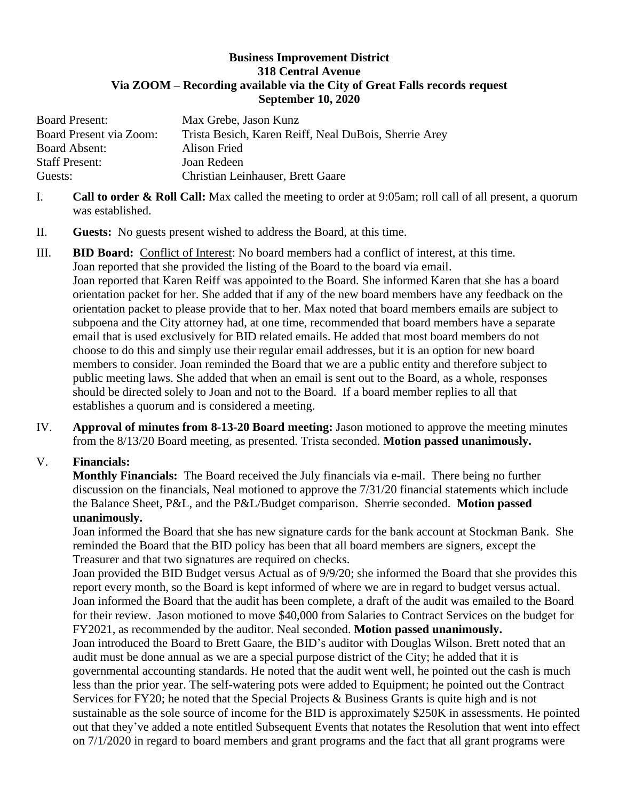## **Business Improvement District 318 Central Avenue Via ZOOM – Recording available via the City of Great Falls records request September 10, 2020**

| <b>Board Present:</b>   | Max Grebe, Jason Kunz                                 |
|-------------------------|-------------------------------------------------------|
| Board Present via Zoom: | Trista Besich, Karen Reiff, Neal DuBois, Sherrie Arey |
| <b>Board Absent:</b>    | Alison Fried                                          |
| <b>Staff Present:</b>   | Joan Redeen                                           |
| Guests:                 | Christian Leinhauser, Brett Gaare                     |

- I. **Call to order & Roll Call:** Max called the meeting to order at 9:05am; roll call of all present, a quorum was established.
- II. **Guests:** No guests present wished to address the Board, at this time.
- III. **BID Board:** Conflict of Interest: No board members had a conflict of interest, at this time. Joan reported that she provided the listing of the Board to the board via email. Joan reported that Karen Reiff was appointed to the Board. She informed Karen that she has a board orientation packet for her. She added that if any of the new board members have any feedback on the orientation packet to please provide that to her. Max noted that board members emails are subject to subpoena and the City attorney had, at one time, recommended that board members have a separate email that is used exclusively for BID related emails. He added that most board members do not choose to do this and simply use their regular email addresses, but it is an option for new board members to consider. Joan reminded the Board that we are a public entity and therefore subject to public meeting laws. She added that when an email is sent out to the Board, as a whole, responses should be directed solely to Joan and not to the Board. If a board member replies to all that establishes a quorum and is considered a meeting.
- IV. **Approval of minutes from 8-13-20 Board meeting:** Jason motioned to approve the meeting minutes from the 8/13/20 Board meeting, as presented. Trista seconded. **Motion passed unanimously.**

## V. **Financials:**

**Monthly Financials:** The Board received the July financials via e-mail. There being no further discussion on the financials, Neal motioned to approve the 7/31/20 financial statements which include the Balance Sheet, P&L, and the P&L/Budget comparison. Sherrie seconded. **Motion passed unanimously.**

Joan informed the Board that she has new signature cards for the bank account at Stockman Bank. She reminded the Board that the BID policy has been that all board members are signers, except the Treasurer and that two signatures are required on checks.

Joan provided the BID Budget versus Actual as of 9/9/20; she informed the Board that she provides this report every month, so the Board is kept informed of where we are in regard to budget versus actual. Joan informed the Board that the audit has been complete, a draft of the audit was emailed to the Board for their review. Jason motioned to move \$40,000 from Salaries to Contract Services on the budget for FY2021, as recommended by the auditor. Neal seconded. **Motion passed unanimously.**  Joan introduced the Board to Brett Gaare, the BID's auditor with Douglas Wilson. Brett noted that an audit must be done annual as we are a special purpose district of the City; he added that it is governmental accounting standards. He noted that the audit went well, he pointed out the cash is much less than the prior year. The self-watering pots were added to Equipment; he pointed out the Contract Services for FY20; he noted that the Special Projects & Business Grants is quite high and is not sustainable as the sole source of income for the BID is approximately \$250K in assessments. He pointed out that they've added a note entitled Subsequent Events that notates the Resolution that went into effect on 7/1/2020 in regard to board members and grant programs and the fact that all grant programs were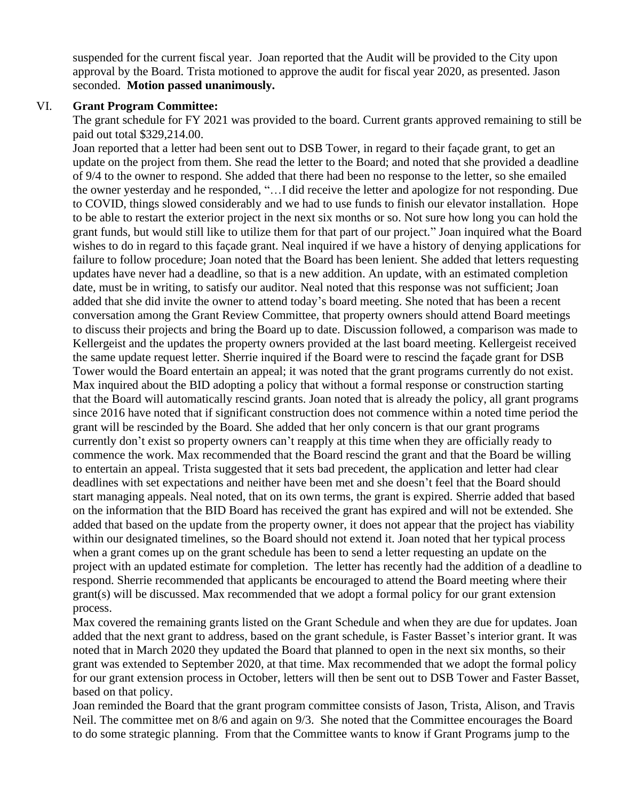suspended for the current fiscal year. Joan reported that the Audit will be provided to the City upon approval by the Board. Trista motioned to approve the audit for fiscal year 2020, as presented. Jason seconded. **Motion passed unanimously.** 

## VI. **Grant Program Committee:**

The grant schedule for FY 2021 was provided to the board. Current grants approved remaining to still be paid out total \$329,214.00.

Joan reported that a letter had been sent out to DSB Tower, in regard to their façade grant, to get an update on the project from them. She read the letter to the Board; and noted that she provided a deadline of 9/4 to the owner to respond. She added that there had been no response to the letter, so she emailed the owner yesterday and he responded, "…I did receive the letter and apologize for not responding. Due to COVID, things slowed considerably and we had to use funds to finish our elevator installation. Hope to be able to restart the exterior project in the next six months or so. Not sure how long you can hold the grant funds, but would still like to utilize them for that part of our project." Joan inquired what the Board wishes to do in regard to this façade grant. Neal inquired if we have a history of denying applications for failure to follow procedure; Joan noted that the Board has been lenient. She added that letters requesting updates have never had a deadline, so that is a new addition. An update, with an estimated completion date, must be in writing, to satisfy our auditor. Neal noted that this response was not sufficient; Joan added that she did invite the owner to attend today's board meeting. She noted that has been a recent conversation among the Grant Review Committee, that property owners should attend Board meetings to discuss their projects and bring the Board up to date. Discussion followed, a comparison was made to Kellergeist and the updates the property owners provided at the last board meeting. Kellergeist received the same update request letter. Sherrie inquired if the Board were to rescind the façade grant for DSB Tower would the Board entertain an appeal; it was noted that the grant programs currently do not exist. Max inquired about the BID adopting a policy that without a formal response or construction starting that the Board will automatically rescind grants. Joan noted that is already the policy, all grant programs since 2016 have noted that if significant construction does not commence within a noted time period the grant will be rescinded by the Board. She added that her only concern is that our grant programs currently don't exist so property owners can't reapply at this time when they are officially ready to commence the work. Max recommended that the Board rescind the grant and that the Board be willing to entertain an appeal. Trista suggested that it sets bad precedent, the application and letter had clear deadlines with set expectations and neither have been met and she doesn't feel that the Board should start managing appeals. Neal noted, that on its own terms, the grant is expired. Sherrie added that based on the information that the BID Board has received the grant has expired and will not be extended. She added that based on the update from the property owner, it does not appear that the project has viability within our designated timelines, so the Board should not extend it. Joan noted that her typical process when a grant comes up on the grant schedule has been to send a letter requesting an update on the project with an updated estimate for completion. The letter has recently had the addition of a deadline to respond. Sherrie recommended that applicants be encouraged to attend the Board meeting where their grant(s) will be discussed. Max recommended that we adopt a formal policy for our grant extension process.

Max covered the remaining grants listed on the Grant Schedule and when they are due for updates. Joan added that the next grant to address, based on the grant schedule, is Faster Basset's interior grant. It was noted that in March 2020 they updated the Board that planned to open in the next six months, so their grant was extended to September 2020, at that time. Max recommended that we adopt the formal policy for our grant extension process in October, letters will then be sent out to DSB Tower and Faster Basset, based on that policy.

Joan reminded the Board that the grant program committee consists of Jason, Trista, Alison, and Travis Neil. The committee met on 8/6 and again on 9/3. She noted that the Committee encourages the Board to do some strategic planning. From that the Committee wants to know if Grant Programs jump to the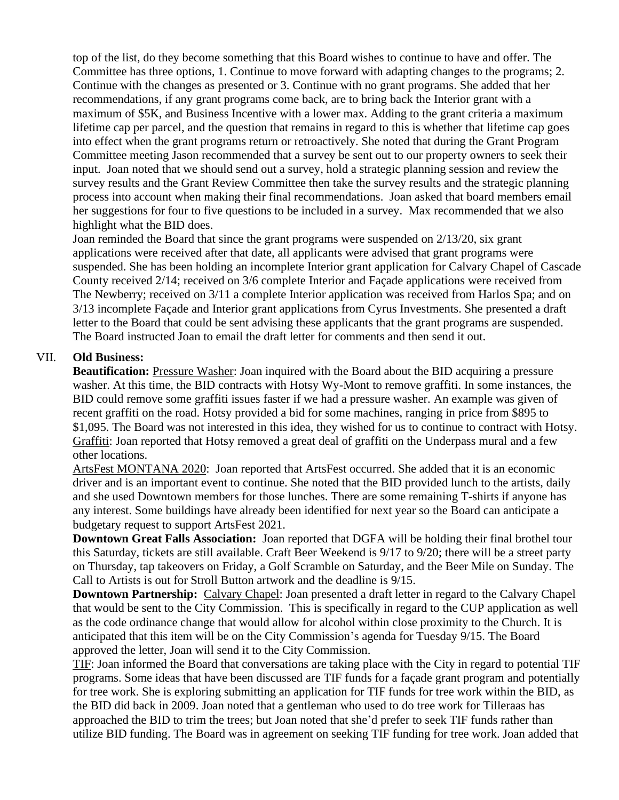top of the list, do they become something that this Board wishes to continue to have and offer. The Committee has three options, 1. Continue to move forward with adapting changes to the programs; 2. Continue with the changes as presented or 3. Continue with no grant programs. She added that her recommendations, if any grant programs come back, are to bring back the Interior grant with a maximum of \$5K, and Business Incentive with a lower max. Adding to the grant criteria a maximum lifetime cap per parcel, and the question that remains in regard to this is whether that lifetime cap goes into effect when the grant programs return or retroactively. She noted that during the Grant Program Committee meeting Jason recommended that a survey be sent out to our property owners to seek their input. Joan noted that we should send out a survey, hold a strategic planning session and review the survey results and the Grant Review Committee then take the survey results and the strategic planning process into account when making their final recommendations. Joan asked that board members email her suggestions for four to five questions to be included in a survey. Max recommended that we also highlight what the BID does.

Joan reminded the Board that since the grant programs were suspended on 2/13/20, six grant applications were received after that date, all applicants were advised that grant programs were suspended. She has been holding an incomplete Interior grant application for Calvary Chapel of Cascade County received 2/14; received on 3/6 complete Interior and Façade applications were received from The Newberry; received on 3/11 a complete Interior application was received from Harlos Spa; and on 3/13 incomplete Façade and Interior grant applications from Cyrus Investments. She presented a draft letter to the Board that could be sent advising these applicants that the grant programs are suspended. The Board instructed Joan to email the draft letter for comments and then send it out.

## VII. **Old Business:**

**Beautification:** Pressure Washer: Joan inquired with the Board about the BID acquiring a pressure washer. At this time, the BID contracts with Hotsy Wy-Mont to remove graffiti. In some instances, the BID could remove some graffiti issues faster if we had a pressure washer. An example was given of recent graffiti on the road. Hotsy provided a bid for some machines, ranging in price from \$895 to \$1,095. The Board was not interested in this idea, they wished for us to continue to contract with Hotsy. Graffiti: Joan reported that Hotsy removed a great deal of graffiti on the Underpass mural and a few other locations.

ArtsFest MONTANA 2020: Joan reported that ArtsFest occurred. She added that it is an economic driver and is an important event to continue. She noted that the BID provided lunch to the artists, daily and she used Downtown members for those lunches. There are some remaining T-shirts if anyone has any interest. Some buildings have already been identified for next year so the Board can anticipate a budgetary request to support ArtsFest 2021.

**Downtown Great Falls Association:** Joan reported that DGFA will be holding their final brothel tour this Saturday, tickets are still available. Craft Beer Weekend is 9/17 to 9/20; there will be a street party on Thursday, tap takeovers on Friday, a Golf Scramble on Saturday, and the Beer Mile on Sunday. The Call to Artists is out for Stroll Button artwork and the deadline is 9/15.

**Downtown Partnership:** Calvary Chapel: Joan presented a draft letter in regard to the Calvary Chapel that would be sent to the City Commission. This is specifically in regard to the CUP application as well as the code ordinance change that would allow for alcohol within close proximity to the Church. It is anticipated that this item will be on the City Commission's agenda for Tuesday 9/15. The Board approved the letter, Joan will send it to the City Commission.

TIF: Joan informed the Board that conversations are taking place with the City in regard to potential TIF programs. Some ideas that have been discussed are TIF funds for a façade grant program and potentially for tree work. She is exploring submitting an application for TIF funds for tree work within the BID, as the BID did back in 2009. Joan noted that a gentleman who used to do tree work for Tilleraas has approached the BID to trim the trees; but Joan noted that she'd prefer to seek TIF funds rather than utilize BID funding. The Board was in agreement on seeking TIF funding for tree work. Joan added that